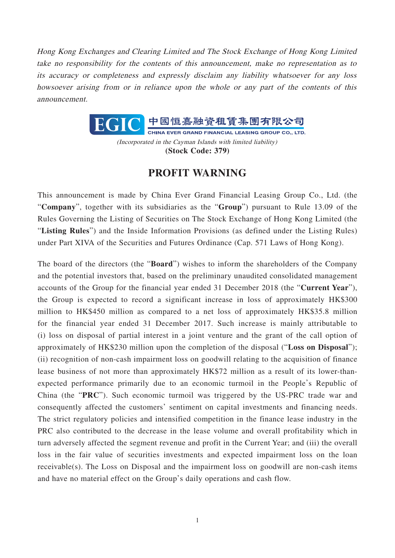Hong Kong Exchanges and Clearing Limited and The Stock Exchange of Hong Kong Limited take no responsibility for the contents of this announcement, make no representation as to its accuracy or completeness and expressly disclaim any liability whatsoever for any loss howsoever arising from or in reliance upon the whole or any part of the contents of this announcement.



(Incorporated in the Cayman Islands with limited liability) **(Stock Code: 379)**

## **PROFIT WARNING**

This announcement is made by China Ever Grand Financial Leasing Group Co., Ltd. (the "**Company**", together with its subsidiaries as the "**Group**") pursuant to Rule 13.09 of the Rules Governing the Listing of Securities on The Stock Exchange of Hong Kong Limited (the "**Listing Rules**") and the Inside Information Provisions (as defined under the Listing Rules) under Part XIVA of the Securities and Futures Ordinance (Cap. 571 Laws of Hong Kong).

The board of the directors (the "**Board**") wishes to inform the shareholders of the Company and the potential investors that, based on the preliminary unaudited consolidated management accounts of the Group for the financial year ended 31 December 2018 (the "**Current Year**"), the Group is expected to record a significant increase in loss of approximately HK\$300 million to HK\$450 million as compared to a net loss of approximately HK\$35.8 million for the financial year ended 31 December 2017. Such increase is mainly attributable to (i) loss on disposal of partial interest in a joint venture and the grant of the call option of approximately of HK\$230 million upon the completion of the disposal ("**Loss on Disposal**"); (ii) recognition of non-cash impairment loss on goodwill relating to the acquisition of finance lease business of not more than approximately HK\$72 million as a result of its lower-thanexpected performance primarily due to an economic turmoil in the People's Republic of China (the "**PRC**"). Such economic turmoil was triggered by the US-PRC trade war and consequently affected the customers' sentiment on capital investments and financing needs. The strict regulatory policies and intensified competition in the finance lease industry in the PRC also contributed to the decrease in the lease volume and overall profitability which in turn adversely affected the segment revenue and profit in the Current Year; and (iii) the overall loss in the fair value of securities investments and expected impairment loss on the loan receivable(s). The Loss on Disposal and the impairment loss on goodwill are non-cash items and have no material effect on the Group's daily operations and cash flow.